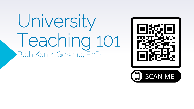# University Teaching 101 Beth Kania-Gosche, PhD

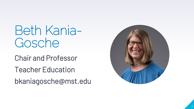Beth Kania - Gosche

Chair and Professor

Teacher Education

bkaniagosche@mst.edu

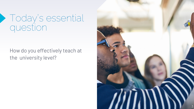#### Today's essential question

#### How do you effectively teach at the university level?

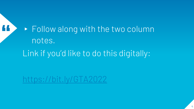**T1 > Follow along with the two column** notes. Link if you'd like to do this digitally:

<https://bit.ly/GTA2022>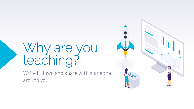## Why are you teaching?

Write it down and share with someone around you.

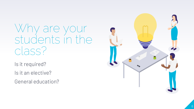### Why are your students in the class?

Is it required?

Is it an elective?

General education?

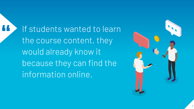If students wanted to learn<br>the course content, they would already know it because they can find the information online.

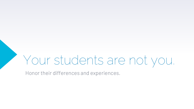# Your students are not you.

Honor their differences and experiences.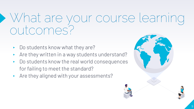### What are your course learning outcomes?

- Do students know what they are?
- Are they written in a way students understand?
- ▸ Do students know the real world consequences for failing to meet the standard?
- ▸ Are they aligned with your assessments?

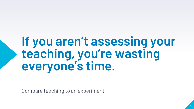### **If you aren't assessing your teaching, you're wasting everyone's time.**

Compare teaching to an experiment.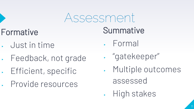### Assessment

#### Formative

- ▸ Just in time
- ▸ Feedback, not grade
- ▸ Efficient, specific
- ▸ Provide resources

#### **Summative**

- ▸ Formal
- ▸ "gatekeeper"
- ▸ Multiple outcomes assessed
- ▸ High stakes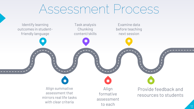### Assessment Process

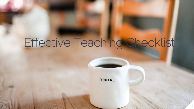## [Effective Teaching Checklist](https://docs.google.com/document/d/1nr8B4p6GCh-i2XH3sdIKdYhDAr_R9TyY2jGzccYjJBY/edit?usp=sharing)

BEGIN.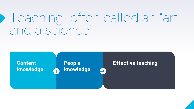### Teaching, often called an "art and a science"

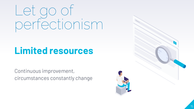# Let go of perfectionism

#### **Limited resources**

Continuous improvement, circumstances constantly change

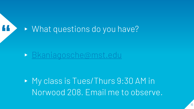

▸ My class is Tues/Thurs 9:30 AM in Norwood 208. Email me to observe.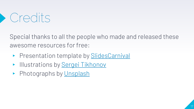### Credits

Special thanks to all the people who made and released these awesome resources for free:

- ▶ Presentation template by [SlidesCarnival](http://www.slidescarnival.com/?utm_source=template)
- ▶ Illustrations by [Sergei Tikhonov](https://isometric.online/)
- ▶ Photographs by [Unsplash](http://unsplash.com/&utm_source=slidescarnival)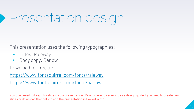# Presentation design

This presentation uses the following typographies:

- ▸ Titles: Raleway
- ▶ Body copy: Barlow

Download for free at:

<https://www.fontsquirrel.com/fonts/raleway>

<https://www.fontsquirrel.com/fonts/barlow>

You don't need to keep this slide in your presentation. It's only here to serve you as a design guide if you need to create new slides or download the fonts to edit the presentation in PowerPoint<sup>®</sup>